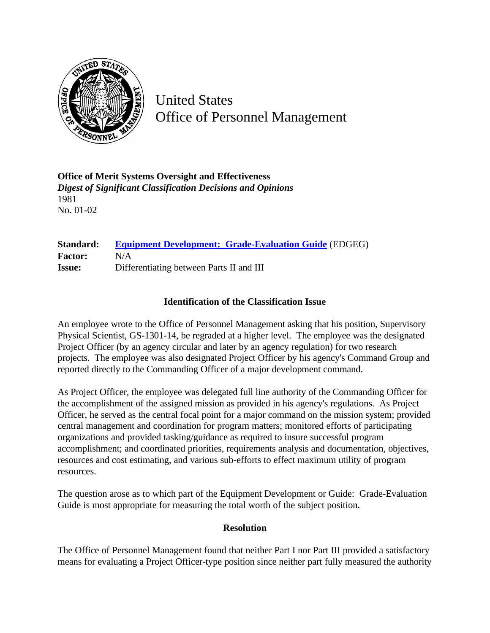

United States Office of Personnel Management

**Office of Merit Systems Oversight and Effectiveness** *Digest of Significant Classification Decisions and Opinions* 1981 No. 01-02

## **Standard: [Equipment Development: Grade-Evaluation Guide](http://www.opm.gov/hr/fedclass/gsequpdv.pdf)** (EDGEG) **Factor:** N/A **Issue:** Differentiating between Parts II and III

## **Identification of the Classification Issue**

An employee wrote to the Office of Personnel Management asking that his position, Supervisory Physical Scientist, GS-1301-14, be regraded at a higher level. The employee was the designated Project Officer (by an agency circular and later by an agency regulation) for two research projects. The employee was also designated Project Officer by his agency's Command Group and reported directly to the Commanding Officer of a major development command.

As Project Officer, the employee was delegated full line authority of the Commanding Officer for the accomplishment of the assigned mission as provided in his agency's regulations. As Project Officer, he served as the central focal point for a major command on the mission system; provided central management and coordination for program matters; monitored efforts of participating organizations and provided tasking/guidance as required to insure successful program accomplishment; and coordinated priorities, requirements analysis and documentation, objectives, resources and cost estimating, and various sub-efforts to effect maximum utility of program resources.

The question arose as to which part of the Equipment Development or Guide: Grade-Evaluation Guide is most appropriate for measuring the total worth of the subject position.

## **Resolution**

The Office of Personnel Management found that neither Part I nor Part III provided a satisfactory means for evaluating a Project Officer-type position since neither part fully measured the authority